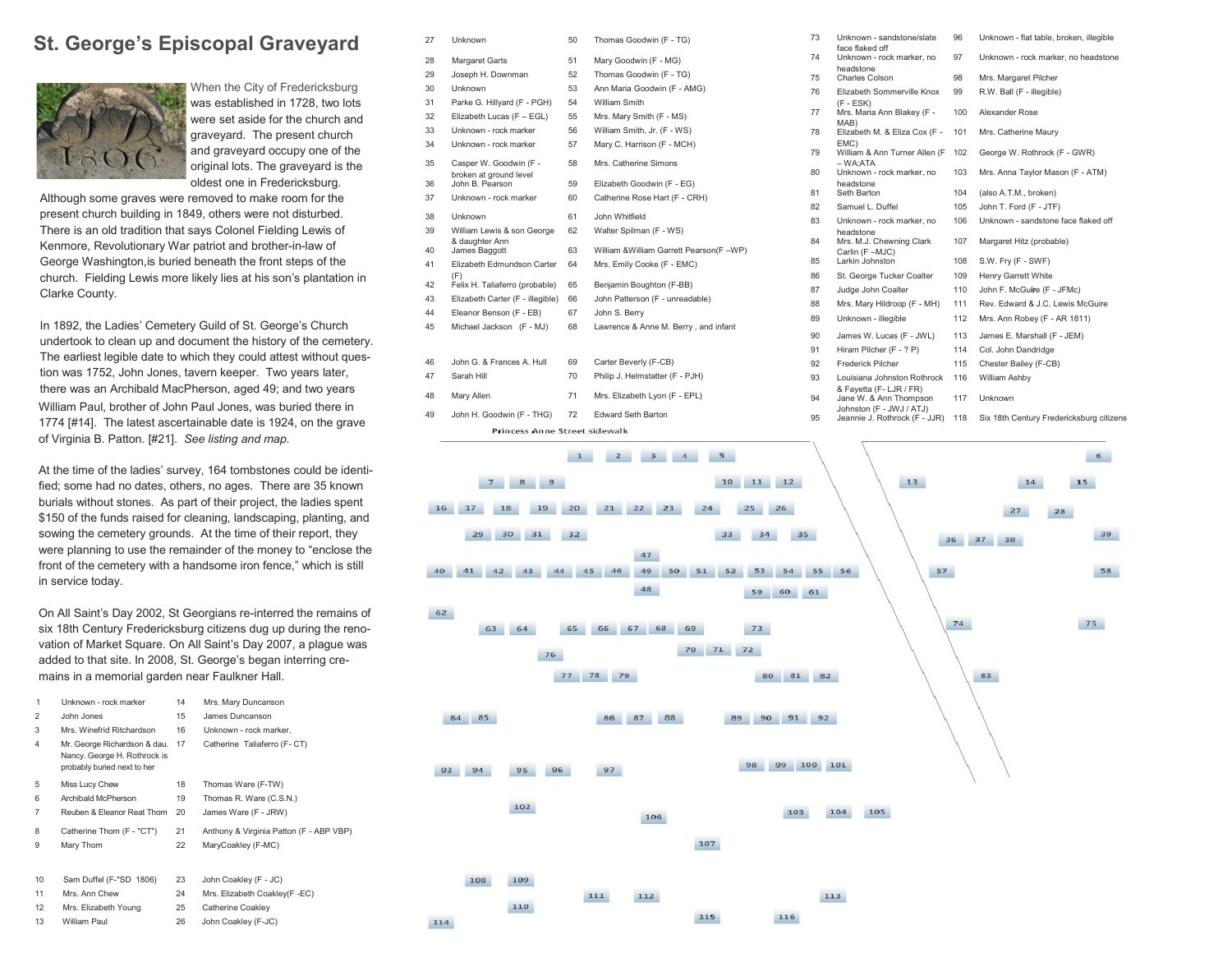# **St. George's Episcopal Graveyard**



When the City of Fredericksburg was established in 1728, two lots were set aside for the church and graveyard. The present church and graveyard occupy one of the original lots. The graveyard is the oldest one in Fredericksburg.

Although some graves were removed to make room for the present church building in 1849, others were not disturbed. There is an old tradition that says Colonel Fielding Lewis of Kenmore, Revolutionary War patriot and brother-in-law of George Washington,is buried beneath the front steps of the church. Fielding Lewis more likely lies at his son's plantation in Clarke County.

In 1892, the Ladies' Cemetery Guild of St. George's Church undertook to clean up and document the history of the cemetery. The earliest legible date to which they could attest without question was 1752, John Jones, tavern keeper. Two years later, there was an Archibald MacPherson, aged 49; and two years William Paul, brother of John Paul Jones, was buried there in 1774 [#14]. The latest ascertainable date is 1924, on the grave of Virginia B. Patton. [#21]. *See listing and map.*

At the time of the ladies' survey, 164 tombstones could be identified; some had no dates, others, no ages. There are 35 known burials without stones. As part of their project, the ladies spent \$150 of the funds raised for cleaning, landscaping, planting, and sowing the cemetery grounds. At the time of their report, they were planning to use the remainder of the money to "enclose the front of the cemetery with a handsome iron fence," which is still in service today.

On All Saint's Day 2002, St Georgians re-interred the remains of six 18th Century Fredericksburg citizens dug up during the renovation of Market Square. On All Saint's Day 2007, a plague was added to that site. In 2008, St. George's began interring cremains in a memorial garden near Faulkner Hall.

| 1              | Unknown - rock marker                                                                       | 14 | Mrs. Mary Duncanson                     |
|----------------|---------------------------------------------------------------------------------------------|----|-----------------------------------------|
| $\overline{2}$ | John Jones                                                                                  | 15 | James Duncanson                         |
| 3              | Mrs. Winefrid Ritchardson                                                                   | 16 | Unknown - rock marker.                  |
| 4              | Mr. George Richardson & dau.<br>Nancy. George H. Rothrock is<br>probably buried next to her | 17 | Catherine Taliaferro (F-CT)             |
| 5              | Miss Lucy Chew                                                                              | 18 | Thomas Ware (F-TW)                      |
| 6              | Archibald McPherson                                                                         | 19 | Thomas R. Ware (C.S.N.)                 |
| 7              | Reuben & Eleanor Reat Thom                                                                  | 20 | James Ware (F - JRW)                    |
| 8              | Catherine Thom (F - "CT")                                                                   | 21 | Anthony & Virginia Patton (F - ABP VBP) |
| 9              | Mary Thom                                                                                   | 22 | MaryCoakley (F-MC)                      |
|                |                                                                                             |    |                                         |
| 10             | Sam Duffel (F-"SD 1806)                                                                     | 23 | John Coakley (F - JC)                   |
| 11             | Mrs. Ann Chew                                                                               | 24 | Mrs. Elizabeth Coakley(F -EC)           |
| 12             | Mrs. Elizabeth Young                                                                        | 25 | Catherine Coakley                       |
| 13             | William Paul                                                                                | 26 | John Coakley (F-JC)                     |

| 27                                   | <b>Unknown</b>                            | 50 | Thomas Goodwin (F - TG)                    |  |  |
|--------------------------------------|-------------------------------------------|----|--------------------------------------------|--|--|
| 28                                   | Margaret Garts                            | 51 | Mary Goodwin (F - MG)                      |  |  |
| 29                                   | Joseph H. Downman                         | 52 | Thomas Goodwin (F - TG)                    |  |  |
| 30                                   | Unknown                                   | 53 | Ann Maria Goodwin (F - AMG)                |  |  |
| 31                                   | Parke G. Hillyard (F - PGH)               | 54 | <b>William Smith</b>                       |  |  |
| 32                                   | Elizabeth Lucas (F - EGL)                 | 55 | Mrs. Mary Smith (F - MS)                   |  |  |
| 33                                   | Unknown - rock marker                     | 56 | William Smith, Jr. (F - WS)                |  |  |
| 34                                   | Unknown - rock marker                     | 57 | Mary C. Harrison (F - MCH)                 |  |  |
| 35                                   | Casper W. Goodwin (F -                    | 58 | Mrs. Catherine Simons                      |  |  |
| 36                                   | broken at ground level<br>John B. Pearson | 59 | Elizabeth Goodwin (F - EG)                 |  |  |
| 37                                   | Unknown - rock marker                     | 60 | Catherine Rose Hart (F - CRH)              |  |  |
| 38                                   | <b>Unknown</b>                            | 61 | John Whitfield                             |  |  |
| 39                                   | William Lewis & son George                | 62 | Walter Spilman (F - WS)                    |  |  |
| 40                                   | & daughter Ann<br>James Baggott           | 63 | William & William Garrett Pearson (F - WP) |  |  |
| 41                                   | Elizabeth Edmundson Carter                | 64 | Mrs. Emily Cooke (F - EMC)                 |  |  |
| 42                                   | (F)<br>Felix H. Taliaferro (probable)     | 65 | Benjamin Boughton (F-BB)                   |  |  |
| 43                                   | Elizabeth Carter (F - illegible)          | 66 | John Patterson (F - unreadable)            |  |  |
| 44                                   | Eleanor Benson (F - EB)                   | 67 | John S. Berry                              |  |  |
| 45                                   | Michael Jackson (F - MJ)                  | 68 | Lawrence & Anne M. Berry, and infant       |  |  |
|                                      |                                           |    |                                            |  |  |
| 46                                   | John G. & Frances A. Hull                 | 69 | Carter Beverly (F-CB)                      |  |  |
| 47                                   | Sarah Hill                                | 70 | Philip J. Helmstatter (F - PJH)            |  |  |
| 48                                   | Mary Allen                                | 71 | Mrs. Elizabeth Lyon (F - EPL)              |  |  |
| 49                                   | John H. Goodwin (F - THG)                 | 72 | <b>Edward Seth Barton</b>                  |  |  |
| <b>Princess Anne Street sidewalk</b> |                                           |    |                                            |  |  |

62

84 85

93 94

108

114



115

116

 Unknown - sandstone/slate face flaked off Unknown - flat table, broken, illegible Unknown - rock marker, no headstone<br>Charles Colson Unknown - rock marker, no headstone Charles Colson 98 Mrs. Margaret Pilcher Elizabeth Sommerville Knox  $(F - FSK)$  R.W. Ball (F - illegible) Mrs. Maria Ann Blakey (F - MAB) Alexander Rose 78 Elizabeth M. & Eliza Cox (F - 101 EMC) Mrs. Catherine Maury William & Ann Turner Allen (F George W. Rothrock (F - GWR) Mrs. Anna Taylor Mason (F - ATM) Unknown - sandstone face flaked off Margaret Hitz (probable) Judge John Coalter 110 John F. McGu**ir**e (F - JFMc) 88 Mrs. Mary Hildroop (F - MH) 111 Rev. Edward & J.C. Lewis McGuire 89 Unknown - illegible 112 Mrs. Ann Robey (F - AR 1811) James W. Lucas (F - JWL) 113 James E. Marshall (F - JEM) William Ashby Jeannie J. Rothrock (F - JJR) 118 Six 18th Century Fredericksburg citizens